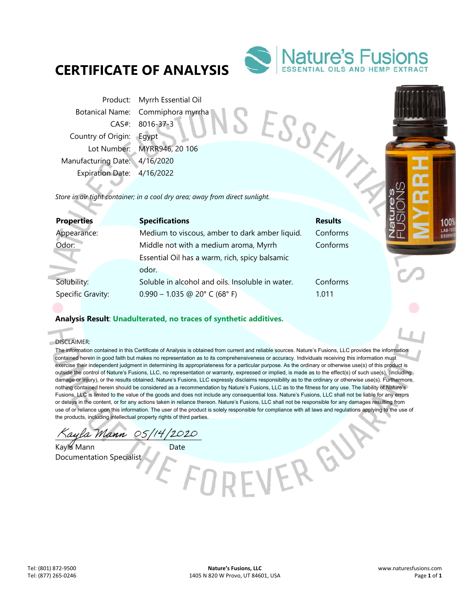## **CERTIFICATE OF ANALYSIS**



Product: Myrrh Essential Oil Botanical Name: Commiphora myrrha CAS#: 8016-37-3 Country of Origin: Egypt Lot Number: MYRR946, 20 106 Manufacturing Date: 4/16/2020 Expiration Date: 4/16/2022 Proauc..<br>
Botanical Name: Commiphora ...,<br>
CAS#: 8016-37-3<br>
Country of Origin: Egypt<br>
Lot Number: MYRR946, 20 106<br>
Manufacturing Date: 4/16/2020<br>
Expiration Date: 4/16/2022<br>
Store in air tight container; in a cool dry area

| <b>Properties</b> | <b>Specifications</b>                            | <b>Results</b> |
|-------------------|--------------------------------------------------|----------------|
| Appearance:       | Medium to viscous, amber to dark amber liquid.   | Conforms       |
| Odor:             | Middle not with a medium aroma, Myrrh            | Conforms       |
|                   | Essential Oil has a warm, rich, spicy balsamic   |                |
|                   | odor.                                            |                |
| Solubility:       | Soluble in alcohol and oils. Insoluble in water. | Conforms       |
| Specific Gravity: | $0.990 - 1.035$ @ 20° C (68° F)                  | 1.011          |
|                   |                                                  |                |

## **Analysis Result**: **Unadulterated, no traces of synthetic additives.**

DISCLAIMER:

i.

The information contained in this Certificate of Analysis is obtained from current and reliable sources. Nature's Fusions, LLC provides the information contained herein in good faith but makes no representation as to its comprehensiveness or accuracy. Individuals receiving this information must exercise their independent judgment in determining its appropriateness for a particular purpose. As the ordinary or otherwise use(s) of this product is outside the control of Nature's Fusions, LLC, no representation or warranty, expressed or implied, is made as to the effect(s) of such use(s), (including damage or injury), or the results obtained. Nature's Fusions, LLC expressly disclaims responsibility as to the ordinary or otherwise use(s). Furthermore, nothing contained herein should be considered as a recommendation by Nature's Fusions, LLC as to the fitness for any use. The liability of Nature's Fusions, LLC is limited to the value of the goods and does not include any consequential loss. Nature's Fusions, LLC shall not be liable for any errors or delays in the content, or for any actions taken in reliance thereon. Nature's Fusions, LLC shall not be responsible for any damages resulting from use of or reliance upon this information. The user of the product is solely responsible for compliance with all laws and regulations applying to the use of the products, including intellectual property rights of third parties.

VERGU

ayla Mann 05/14/2020

Kayla Mann Date Documentation Specialist

100 LAB-1 **ESSE**